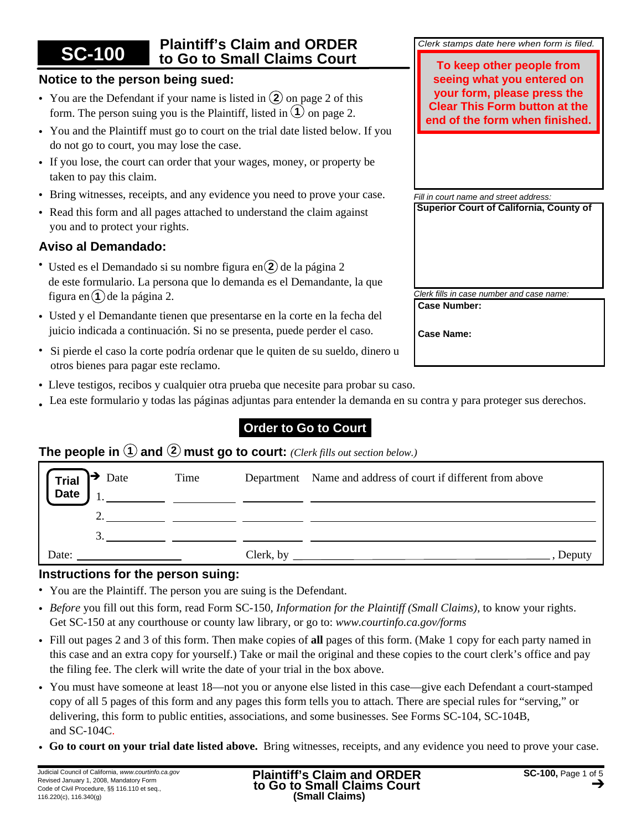#### **Plaintiff's Claim and ORDER to Go to Small Claims Court SC-100**

## **Notice to the person being sued:**

- You are the Defendant if your name is listed in  $(2)$  on page 2 of this form. The person suing you is the Plaintiff, listed in  $(1)$  on page 2.
- You and the Plaintiff must go to court on the trial date listed below. If you do not go to court, you may lose the case.
- If you lose, the court can order that your wages, money, or property be taken to pay this claim.
- Bring witnesses, receipts, and any evidence you need to prove your case.
- Read this form and all pages attached to understand the claim against you and to protect your rights.

# **Aviso al Demandado:**

- Usted es el Demandado si su nombre figura en 2 de la página 2 de este formulario. La persona que lo demanda es el Demandante, la que figura en $(1)$ de la página 2.
- Usted y el Demandante tienen que presentarse en la corte en la fecha del juicio indicada a continuación. Si no se presenta, puede perder el caso.
- Si pierde el caso la corte podría ordenar que le quiten de su sueldo, dinero u otros bienes para pagar este reclamo.
- Lleve testigos, recibos y cualquier otra prueba que necesite para probar su caso. •
- Lea este formulario y todas las páginas adjuntas para entender la demanda en su contra y para proteger sus derechos. •

# **Order to Go to Court**

# **The people in**  $(1)$  and  $(2)$  must go to court: *(Clerk fills out section below.)*

| $\rightarrow$ Date<br><b>Trial</b><br><b>Date</b> | Time |           | Department Name and address of court if different from above |
|---------------------------------------------------|------|-----------|--------------------------------------------------------------|
|                                                   |      |           |                                                              |
|                                                   |      |           |                                                              |
| Date:                                             |      | Clerk, by | $"$ en $"$                                                   |

## **Instructions for the person suing:**

- You are the Plaintiff. The person you are suing is the Defendant.
- *Before* you fill out this form, read Form SC-150, *Information for the Plaintiff (Small Claims),* to know your rights. Get SC-150 at any courthouse or county law library, or go to: *www.courtinfo.ca.gov/forms*
- Fill out pages 2 and 3 of this form. Then make copies of **all** pages of this form. (Make 1 copy for each party named in this case and an extra copy for yourself.) Take or mail the original and these copies to the court clerk's office and pay the filing fee. The clerk will write the date of your trial in the box above.
- You must have someone at least 18—not you or anyone else listed in this case—give each Defendant a court-stamped copy of all 5 pages of this form and any pages this form tells you to attach. There are special rules for "serving," or delivering, this form to public entities, associations, and some businesses. See Forms SC-104, SC-104B, and SC-104C.
- **Go to court on your trial date listed above.** Bring witnesses, receipts, and any evidence you need to prove your case. •

| Clerk stamps date here when form is filed. |  |  |  |
|--------------------------------------------|--|--|--|

**To keep other people from seeing what you entered on your form, please press the Clear This Form button at the end of the form when finished.**

*Fill in court name and street address:* **Superior Court of California, County of**

*Clerk fills in case number and case name:* **Case Number:**

**Case Name:**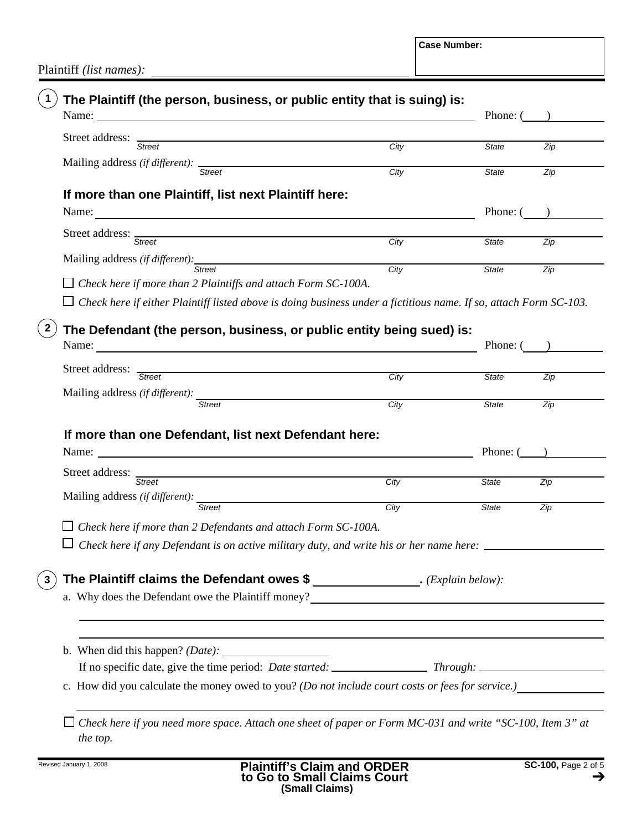**Case Number:**

Plaintiff *(list names):*

| Name: Name and the same of the same of the same of the same of the same of the same of the same of the same of the same of the same of the same of the same of the same of the same of the same of the same of the same of the       |                   |              | Phone: $($ )     |
|--------------------------------------------------------------------------------------------------------------------------------------------------------------------------------------------------------------------------------------|-------------------|--------------|------------------|
| Street address: Street<br><u> 1989 - Johann Barbara, martxa alemaniar amerikan a</u>                                                                                                                                                 | City              | <b>State</b> | Zip              |
| Mailing address (if different): Street                                                                                                                                                                                               |                   |              |                  |
|                                                                                                                                                                                                                                      | City              | <b>State</b> | Zip              |
| If more than one Plaintiff, list next Plaintiff here:                                                                                                                                                                                |                   |              |                  |
|                                                                                                                                                                                                                                      |                   | Phone: (     |                  |
| Street address: Street                                                                                                                                                                                                               | City              | State        | $\overline{Zip}$ |
|                                                                                                                                                                                                                                      |                   |              |                  |
| Mailing address (if different): Street                                                                                                                                                                                               | City              | <b>State</b> | Zip              |
| $\Box$ Check here if more than 2 Plaintiffs and attach Form SC-100A.                                                                                                                                                                 |                   |              |                  |
| $\Box$ Check here if either Plaintiff listed above is doing business under a fictitious name. If so, attach Form SC-103.                                                                                                             |                   |              |                  |
| The Defendant (the person, business, or public entity being sued) is:                                                                                                                                                                |                   |              |                  |
|                                                                                                                                                                                                                                      |                   | Phone: (     |                  |
|                                                                                                                                                                                                                                      |                   |              |                  |
| Street address: Street                                                                                                                                                                                                               | City              | State        | Zip              |
| Mailing address (if different): Street                                                                                                                                                                                               | $\overline{City}$ |              |                  |
|                                                                                                                                                                                                                                      |                   | <b>State</b> | $\overline{Zip}$ |
| If more than one Defendant, list next Defendant here:                                                                                                                                                                                |                   |              |                  |
|                                                                                                                                                                                                                                      |                   | Phone: (     |                  |
| Street address: Street                                                                                                                                                                                                               |                   |              |                  |
|                                                                                                                                                                                                                                      | City              | <b>State</b> | Zip              |
| Mailing address (if different): Street                                                                                                                                                                                               | City              | State        | Zip              |
| $\Box$ Check here if more than 2 Defendants and attach Form SC-100A.                                                                                                                                                                 |                   |              |                  |
| Check here if any Defendant is on active military duty, and write his or her name here: _                                                                                                                                            |                   |              |                  |
|                                                                                                                                                                                                                                      |                   |              |                  |
| The Plaintiff claims the Defendant owes \$ _______________. (Explain below):                                                                                                                                                         |                   |              |                  |
| a. Why does the Defendant owe the Plaintiff money?<br><u>Letting</u> the state of the state of the state of the state of the state of the state of the state of the state of the state of the state of the state of the state of the |                   |              |                  |
|                                                                                                                                                                                                                                      |                   |              |                  |
|                                                                                                                                                                                                                                      |                   |              |                  |
|                                                                                                                                                                                                                                      |                   |              |                  |
|                                                                                                                                                                                                                                      |                   |              |                  |
|                                                                                                                                                                                                                                      |                   |              |                  |

*Check here if you need more space. Attach one sheet of paper or Form MC-031 and write "SC-100, Item 3" at the top.*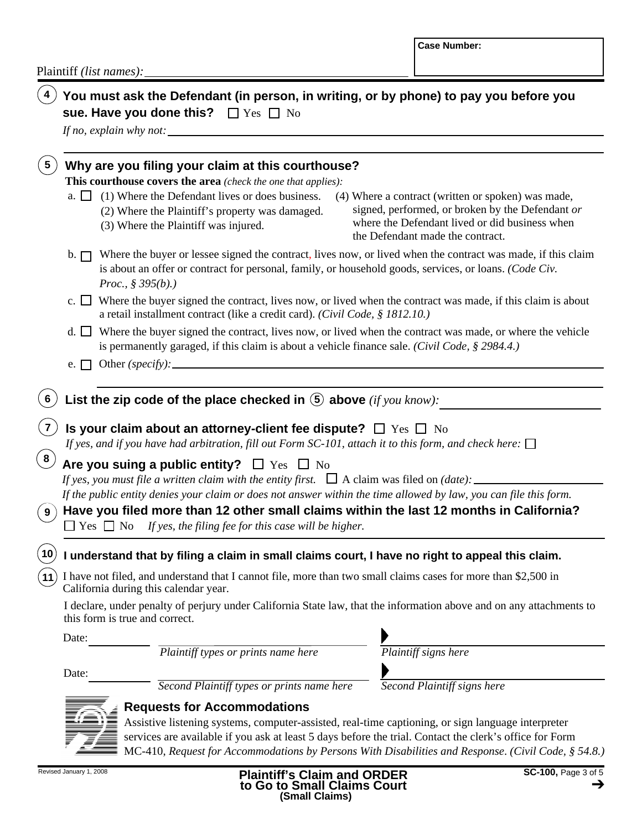|                                                                                                                                                                                                                                                                                                   | <b>Case Number:</b>                                                                                                                                                                          |
|---------------------------------------------------------------------------------------------------------------------------------------------------------------------------------------------------------------------------------------------------------------------------------------------------|----------------------------------------------------------------------------------------------------------------------------------------------------------------------------------------------|
| Plaintiff <i>(list names)</i> : $\_\_$                                                                                                                                                                                                                                                            |                                                                                                                                                                                              |
| You must ask the Defendant (in person, in writing, or by phone) to pay you before you<br>sue. Have you done this? $\Box$ Yes $\Box$ No                                                                                                                                                            |                                                                                                                                                                                              |
| Why are you filing your claim at this courthouse?<br>5<br>This courthouse covers the area (check the one that applies):                                                                                                                                                                           |                                                                                                                                                                                              |
| (1) Where the Defendant lives or does business.<br>$a. \perp \perp$<br>(2) Where the Plaintiff's property was damaged.<br>(3) Where the Plaintiff was injured.                                                                                                                                    | (4) Where a contract (written or spoken) was made,<br>signed, performed, or broken by the Defendant or<br>where the Defendant lived or did business when<br>the Defendant made the contract. |
| Where the buyer or lessee signed the contract, lives now, or lived when the contract was made, if this claim<br>$\mathbf{b}$ . $\Box$<br>is about an offer or contract for personal, family, or household goods, services, or loans. (Code Civ.<br><i>Proc.</i> , $\frac{8}{9}$ 395( <i>b</i> ).) |                                                                                                                                                                                              |
| c. $\Box$ Where the buyer signed the contract, lives now, or lived when the contract was made, if this claim is about<br>a retail installment contract (like a credit card). (Civil Code, § 1812.10.)                                                                                             |                                                                                                                                                                                              |
| d. □ Where the buyer signed the contract, lives now, or lived when the contract was made, or where the vehicle<br>is permanently garaged, if this claim is about a vehicle finance sale. (Civil Code, § 2984.4.)<br>Other (specify):<br>$e. \perp \perp$                                          |                                                                                                                                                                                              |
|                                                                                                                                                                                                                                                                                                   |                                                                                                                                                                                              |
| List the zip code of the place checked in $\circled{5}$ above (if you know):<br>6                                                                                                                                                                                                                 |                                                                                                                                                                                              |
| Is your claim about an attorney-client fee dispute? $\Box$ Yes $\Box$ No<br>If yes, and if you have had arbitration, fill out Form SC-101, attach it to this form, and check here: $\Box$                                                                                                         |                                                                                                                                                                                              |
| 8<br>Are you suing a public entity? $\square$ Yes $\square$ No                                                                                                                                                                                                                                    |                                                                                                                                                                                              |
| If yes, you must file a written claim with the entity first. $\Box$ A claim was filed on (date): $\Box$                                                                                                                                                                                           |                                                                                                                                                                                              |
| If the public entity denies your claim or does not answer within the time allowed by law, you can file this form.                                                                                                                                                                                 |                                                                                                                                                                                              |
| Have you filed more than 12 other small claims within the last 12 months in California?<br>9<br>$\Box$ Yes $\Box$ No<br>If yes, the filing fee for this case will be higher.                                                                                                                      |                                                                                                                                                                                              |
| 10<br>I understand that by filing a claim in small claims court, I have no right to appeal this claim.                                                                                                                                                                                            |                                                                                                                                                                                              |
| I have not filed, and understand that I cannot file, more than two small claims cases for more than \$2,500 in                                                                                                                                                                                    |                                                                                                                                                                                              |
| California during this calendar year.                                                                                                                                                                                                                                                             |                                                                                                                                                                                              |
| I declare, under penalty of perjury under California State law, that the information above and on any attachments to<br>this form is true and correct.                                                                                                                                            |                                                                                                                                                                                              |
| Date:                                                                                                                                                                                                                                                                                             |                                                                                                                                                                                              |
| Plaintiff types or prints name here                                                                                                                                                                                                                                                               | Plaintiff signs here                                                                                                                                                                         |
| Date:                                                                                                                                                                                                                                                                                             |                                                                                                                                                                                              |
| Second Plaintiff types or prints name here                                                                                                                                                                                                                                                        | Second Plaintiff signs here                                                                                                                                                                  |
| <b>Requests for Accommodations</b>                                                                                                                                                                                                                                                                |                                                                                                                                                                                              |
| Assistive listening systems, computer-assisted, real-time captioning, or sign language interpreter                                                                                                                                                                                                |                                                                                                                                                                                              |
| services are available if you ask at least 5 days before the trial. Contact the clerk's office for Form                                                                                                                                                                                           |                                                                                                                                                                                              |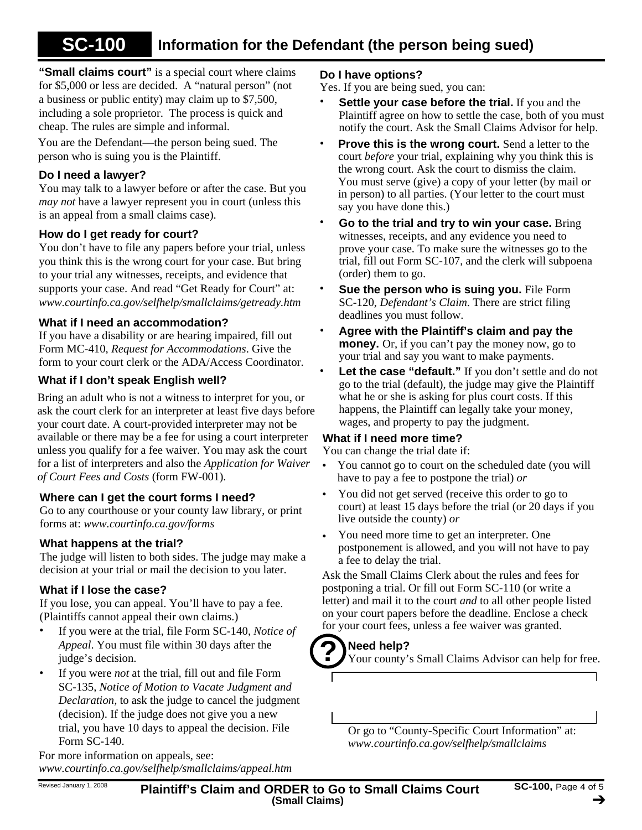#### **Information for the Defendant (the person being sued) SC-100**

**"Small claims court"** is a special court where claims for \$5,000 or less are decided. A "natural person" (not a business or public entity) may claim up to \$7,500, including a sole proprietor. The process is quick and cheap. The rules are simple and informal.

You are the Defendant—the person being sued. The person who is suing you is the Plaintiff.

## **Do I need a lawyer?**

You may talk to a lawyer before or after the case. But you *may not* have a lawyer represent you in court (unless this is an appeal from a small claims case).

## **How do I get ready for court?**

You don't have to file any papers before your trial, unless you think this is the wrong court for your case. But bring to your trial any witnesses, receipts, and evidence that supports your case. And read "Get Ready for Court" at: *www.courtinfo.ca.gov/selfhelp/smallclaims/getready.htm*

## **What if I need an accommodation?**

If you have a disability or are hearing impaired, fill out Form MC-410, *Request for Accommodations*. Give the form to your court clerk or the ADA/Access Coordinator.

## **What if I don't speak English well?**

Bring an adult who is not a witness to interpret for you, or ask the court clerk for an interpreter at least five days before your court date. A court-provided interpreter may not be available or there may be a fee for using a court interpreter unless you qualify for a fee waiver. You may ask the court for a list of interpreters and also the *Application for Waiver of Court Fees and Costs* (form FW-001).

## **Where can I get the court forms I need?**

Go to any courthouse or your county law library, or print forms at: *www.courtinfo.ca.gov/forms*

## **What happens at the trial?**

The judge will listen to both sides. The judge may make a decision at your trial or mail the decision to you later.

## **What if I lose the case?**

If you lose, you can appeal. You'll have to pay a fee. (Plaintiffs cannot appeal their own claims.)

- If you were at the trial, file Form SC-140, *Notice of Appeal*. You must file within 30 days after the judge's decision. •
- If you were *not* at the trial, fill out and file Form SC-135, *Notice of Motion to Vacate Judgment and Declaration,* to ask the judge to cancel the judgment (decision). If the judge does not give you a new trial, you have 10 days to appeal the decision. File Form SC-140. •

For more information on appeals, see: *www.courtinfo.ca.gov/selfhelp/smallclaims/appeal.htm*

### **Do I have options?**

Yes. If you are being sued, you can:

- **Settle your case before the trial.** If you and the Plaintiff agree on how to settle the case, both of you must notify the court. Ask the Small Claims Advisor for help. •
- **Prove this is the wrong court.** Send a letter to the court *before* your trial, explaining why you think this is the wrong court. Ask the court to dismiss the claim. You must serve (give) a copy of your letter (by mail or in person) to all parties. (Your letter to the court must say you have done this.) •
- **Go to the trial and try to win your case.** Bring witnesses, receipts, and any evidence you need to prove your case. To make sure the witnesses go to the trial, fill out Form SC-107, and the clerk will subpoena (order) them to go. •
- **Sue the person who is suing you.** File Form SC-120, *Defendant's Claim*. There are strict filing deadlines you must follow. •
- **Agree with the Plaintiff's claim and pay the money.** Or, if you can't pay the money now, go to your trial and say you want to make payments. •
- Let the case "default." If you don't settle and do not go to the trial (default), the judge may give the Plaintiff what he or she is asking for plus court costs. If this happens, the Plaintiff can legally take your money, wages, and property to pay the judgment. •

## **What if I need more time?**

You can change the trial date if:

- You cannot go to court on the scheduled date (you will have to pay a fee to postpone the trial) *or* •
- You did not get served (receive this order to go to court) at least 15 days before the trial (or 20 days if you live outside the county) *or* •
- You need more time to get an interpreter. One postponement is allowed, and you will not have to pay a fee to delay the trial. •

Ask the Small Claims Clerk about the rules and fees for postponing a trial. Or fill out Form SC-110 (or write a letter) and mail it to the court *and* to all other people listed on your court papers before the deadline. Enclose a check for your court fees, unless a fee waiver was granted.

## **Need help? ?**

Your county's Small Claims Advisor can help for free.

Or go to "County-Specific Court Information" at: *www.courtinfo.ca.gov/selfhelp/smallclaims*